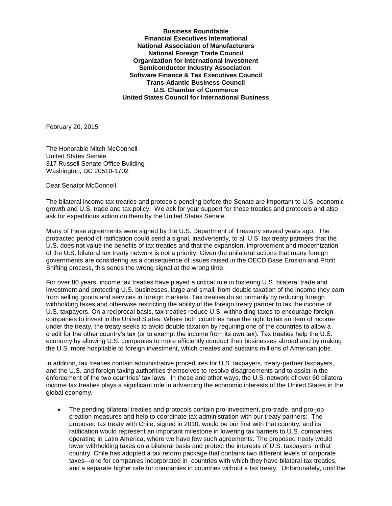**Business Roundtable Financial Executives International National Association of Manufacturers National Foreign Trade Council Organization for International Investment Semiconductor Industry Association Software Finance & Tax Executives Council Trans-Atlantic Business Council U.S. Chamber of Commerce United States Council for International Business**

February 20, 2015

The Honorable Mitch McConnell United States Senate 317 Russell Senate Office Building Washington, DC 20510-1702

Dear Senator McConnell,

The bilateral income tax treaties and protocols pending before the Senate are important to U.S. economic growth and U.S. trade and tax policy. We ask for your support for these treaties and protocols and also ask for expeditious action on them by the United States Senate.

Many of these agreements were signed by the U.S. Department of Treasury several years ago. The protracted period of ratification could send a signal, inadvertently, to all U.S. tax treaty partners that the U.S. does not value the benefits of tax treaties and that the expansion, improvement and modernization of the U.S. bilateral tax treaty network is not a priority. Given the unilateral actions that many foreign governments are considering as a consequence of issues raised in the OECD Base Erosion and Profit Shifting process, this sends the wrong signal at the wrong time.

For over 80 years, income tax treaties have played a critical role in fostering U.S. bilateral trade and investment and protecting U.S. businesses, large and small, from double taxation of the income they earn from selling goods and services in foreign markets. Tax treaties do so primarily by reducing foreign withholding taxes and otherwise restricting the ability of the foreign treaty partner to tax the income of U.S. taxpayers. On a reciprocal basis, tax treaties reduce U.S. withholding taxes to encourage foreign companies to invest in the United States. Where both countries have the right to tax an item of income under the treaty, the treaty seeks to avoid double taxation by requiring one of the countries to allow a credit for the other country's tax (or to exempt the income from its own tax). Tax treaties help the U.S. economy by allowing U.S. companies to more efficiently conduct their businesses abroad and by making the U.S. more hospitable to foreign investment, which creates and sustains millions of American jobs.

In addition, tax treaties contain administrative procedures for U.S. taxpayers, treaty-partner taxpayers, and the U.S. and foreign taxing authorities themselves to resolve disagreements and to assist in the enforcement of the two countries' tax laws. In these and other ways, the U.S. network of over 60 bilateral income tax treaties plays a significant role in advancing the economic interests of the United States in the global economy.

 The pending bilateral treaties and protocols contain pro-investment, pro-trade, and pro-job creation measures and help to coordinate tax administration with our treaty partners: The proposed tax treaty with Chile, signed in 2010, would be our first with that country, and its ratification would represent an important milestone in lowering tax barriers to U.S. companies operating in Latin America, where we have few such agreements. The proposed treaty would lower withholding taxes on a bilateral basis and protect the interests of U.S. taxpayers in that country. Chile has adopted a tax reform package that contains two different levels of corporate taxes—one for companies incorporated in countries with which they have bilateral tax treaties, and a separate higher rate for companies in countries without a tax treaty. Unfortunately, until the